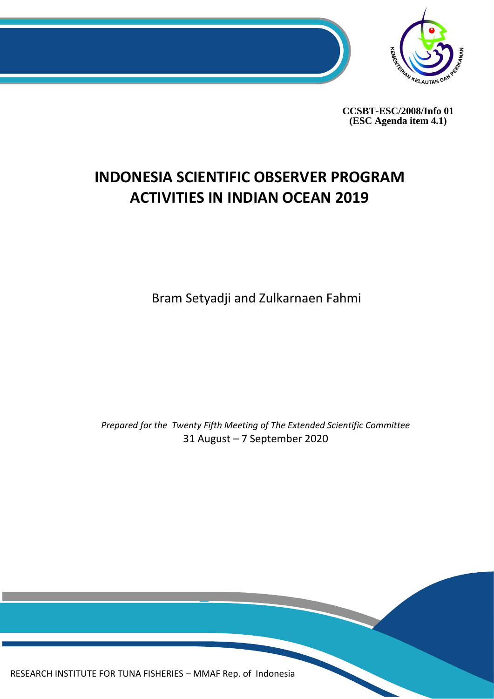

**CCSBT-ESC/2008/Info 01 (ESC Agenda item 4.1)**

# **INDONESIA SCIENTIFIC OBSERVER PROGRAM ACTIVITIES IN INDIAN OCEAN 2019**

Bram Setyadji and Zulkarnaen Fahmi

*Prepared for the Twenty Fifth Meeting of The Extended Scientific Committee* 31 August – 7 September 2020

0 RESEARCH INSTITUTE FOR TUNA FISHERIES – MMAF Rep. of Indonesia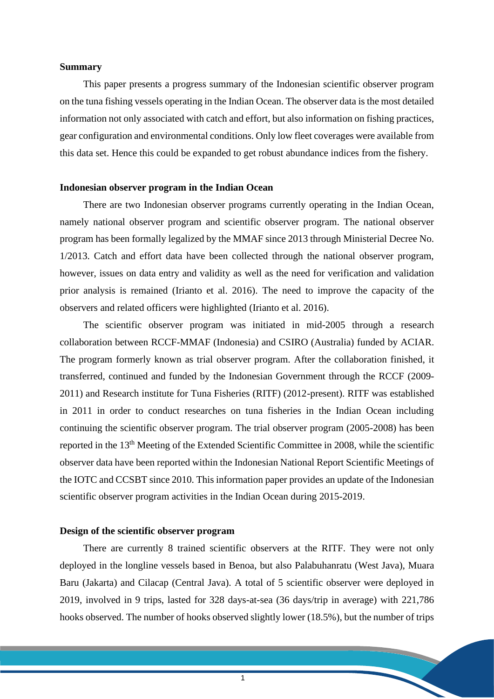#### **Summary**

This paper presents a progress summary of the Indonesian scientific observer program on the tuna fishing vessels operating in the Indian Ocean. The observer data is the most detailed information not only associated with catch and effort, but also information on fishing practices, gear configuration and environmental conditions. Only low fleet coverages were available from this data set. Hence this could be expanded to get robust abundance indices from the fishery.

#### **Indonesian observer program in the Indian Ocean**

There are two Indonesian observer programs currently operating in the Indian Ocean, namely national observer program and scientific observer program. The national observer program has been formally legalized by the MMAF since 2013 through Ministerial Decree No. 1/2013. Catch and effort data have been collected through the national observer program, however, issues on data entry and validity as well as the need for verification and validation prior analysis is remained (Irianto et al. 2016). The need to improve the capacity of the observers and related officers were highlighted (Irianto et al. 2016).

The scientific observer program was initiated in mid-2005 through a research collaboration between RCCF-MMAF (Indonesia) and CSIRO (Australia) funded by ACIAR. The program formerly known as trial observer program. After the collaboration finished, it transferred, continued and funded by the Indonesian Government through the RCCF (2009- 2011) and Research institute for Tuna Fisheries (RITF) (2012-present). RITF was established in 2011 in order to conduct researches on tuna fisheries in the Indian Ocean including continuing the scientific observer program. The trial observer program (2005-2008) has been reported in the 13<sup>th</sup> Meeting of the Extended Scientific Committee in 2008, while the scientific observer data have been reported within the Indonesian National Report Scientific Meetings of the IOTC and CCSBT since 2010. This information paper provides an update of the Indonesian scientific observer program activities in the Indian Ocean during 2015-2019.

### **Design of the scientific observer program**

There are currently 8 trained scientific observers at the RITF. They were not only deployed in the longline vessels based in Benoa, but also Palabuhanratu (West Java), Muara Baru (Jakarta) and Cilacap (Central Java). A total of 5 scientific observer were deployed in 2019, involved in 9 trips, lasted for 328 days-at-sea (36 days/trip in average) with 221,786 hooks observed. The number of hooks observed slightly lower (18.5%), but the number of trips

1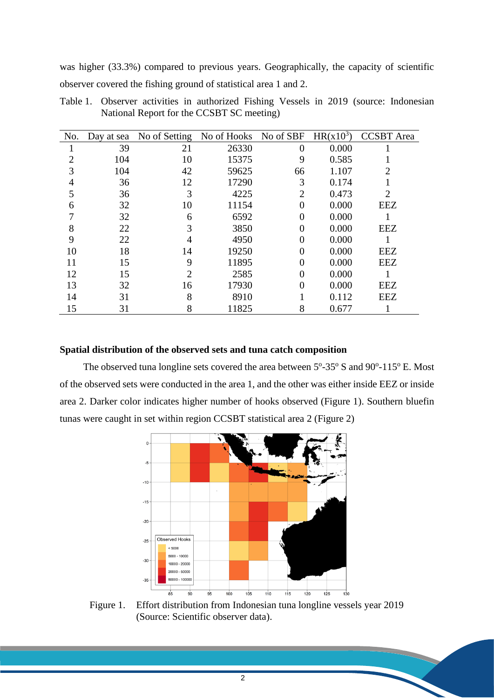was higher (33.3%) compared to previous years. Geographically, the capacity of scientific observer covered the fishing ground of statistical area 1 and 2.

| No.            | Day at sea | No of Setting No of Hooks No of SBF |       |                | $HR(x10^3)$ | <b>CCSBT</b> Area |
|----------------|------------|-------------------------------------|-------|----------------|-------------|-------------------|
|                | 39         | 21                                  | 26330 | $\overline{0}$ | 0.000       |                   |
| 2              | 104        | 10                                  | 15375 | 9              | 0.585       |                   |
| 3              | 104        | 42                                  | 59625 | 66             | 1.107       | $\overline{2}$    |
| $\overline{4}$ | 36         | 12                                  | 17290 | 3              | 0.174       |                   |
| 5              | 36         | 3                                   | 4225  | $\overline{2}$ | 0.473       | $\overline{2}$    |
| 6              | 32         | 10                                  | 11154 | $\Omega$       | 0.000       | <b>EEZ</b>        |
| 7              | 32         | 6                                   | 6592  | 0              | 0.000       |                   |
| 8              | 22         | 3                                   | 3850  | 0              | 0.000       | <b>EEZ</b>        |
| 9              | 22         | 4                                   | 4950  | 0              | 0.000       |                   |
| 10             | 18         | 14                                  | 19250 | 0              | 0.000       | <b>EEZ</b>        |
| 11             | 15         | 9                                   | 11895 | 0              | 0.000       | <b>EEZ</b>        |
| 12             | 15         | 2                                   | 2585  | 0              | 0.000       |                   |
| 13             | 32         | 16                                  | 17930 | 0              | 0.000       | <b>EEZ</b>        |
| 14             | 31         | 8                                   | 8910  |                | 0.112       | <b>EEZ</b>        |
| 15             | 31         | 8                                   | 11825 | 8              | 0.677       |                   |

Table 1. Observer activities in authorized Fishing Vessels in 2019 (source: Indonesian National Report for the CCSBT SC meeting)

## **Spatial distribution of the observed sets and tuna catch composition**

The observed tuna longline sets covered the area between  $5^{\circ}$ -35 $^{\circ}$  S and 90 $^{\circ}$ -115 $^{\circ}$  E. Most of the observed sets were conducted in the area 1, and the other was either inside EEZ or inside area 2. Darker color indicates higher number of hooks observed (Figure 1). Southern bluefin tunas were caught in set within region CCSBT statistical area 2 (Figure 2)



Figure 1. Effort distribution from Indonesian tuna longline vessels year 2019 (Source: Scientific observer data).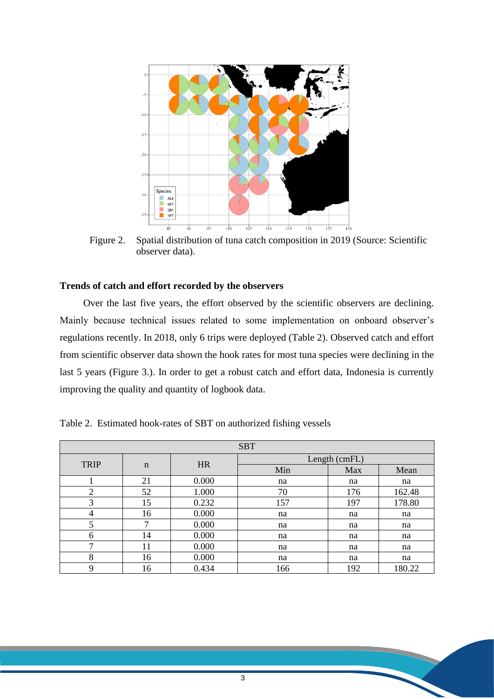

Figure 2. Spatial distribution of tuna catch composition in 2019 (Source: Scientific observer data).

# **Trends of catch and effort recorded by the observers**

Over the last five years, the effort observed by the scientific observers are declining. Mainly because technical issues related to some implementation on onboard observer's regulations recently. In 2018, only 6 trips were deployed (Table 2). Observed catch and effort from scientific observer data shown the hook rates for most tuna species were declining in the last 5 years (Figure 3.). In order to get a robust catch and effort data, Indonesia is currently improving the quality and quantity of logbook data.

| <b>SBT</b>     |             |           |               |     |        |  |  |  |  |
|----------------|-------------|-----------|---------------|-----|--------|--|--|--|--|
| <b>TRIP</b>    |             | <b>HR</b> | Length (cmFL) |     |        |  |  |  |  |
|                | $\mathbf n$ |           | Min           | Max | Mean   |  |  |  |  |
|                | 21          | 0.000     | na            | na  | na     |  |  |  |  |
| $\overline{2}$ | 52          | 1.000     | 70            | 176 | 162.48 |  |  |  |  |
| 3              | 15          | 0.232     | 157           | 197 | 178.80 |  |  |  |  |
| 4              | 16          | 0.000     | na            | na  | na     |  |  |  |  |
| 5              |             | 0.000     | na            | na  | na     |  |  |  |  |
| 6              | 14          | 0.000     | na            | na  | na     |  |  |  |  |
| ⇁              | 11          | 0.000     | na            | na  | na     |  |  |  |  |
| 8              | 16          | 0.000     | na            | na  | na     |  |  |  |  |
| 9              | 16          | 0.434     | 166           | 192 | 180.22 |  |  |  |  |

Table 2. Estimated hook-rates of SBT on authorized fishing vessels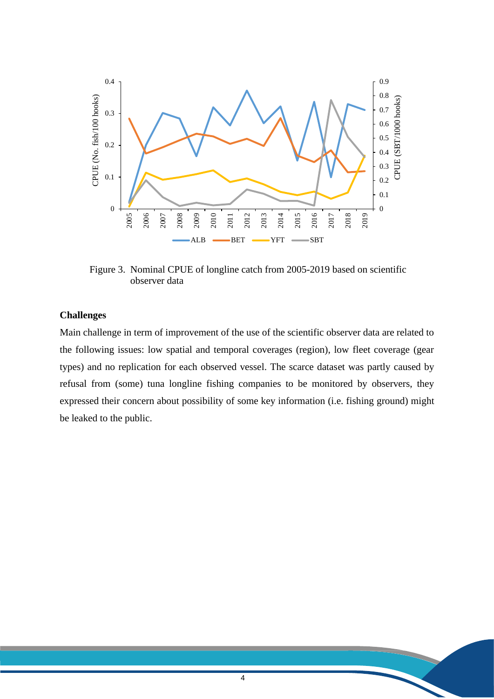

Figure 3. Nominal CPUE of longline catch from 2005-2019 based on scientific observer data

## **Challenges**

Main challenge in term of improvement of the use of the scientific observer data are related to the following issues: low spatial and temporal coverages (region), low fleet coverage (gear types) and no replication for each observed vessel. The scarce dataset was partly caused by refusal from (some) tuna longline fishing companies to be monitored by observers, they expressed their concern about possibility of some key information (i.e. fishing ground) might be leaked to the public.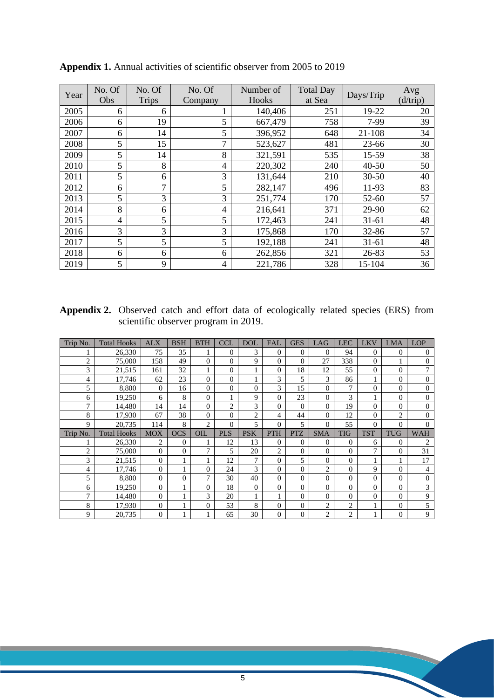| Year | No. Of<br>Obs | No. Of<br><b>Trips</b> | No. Of         | Number of<br>Hooks | <b>Total Day</b><br>at Sea | Days/Trip | Avg<br>(d/trip) |
|------|---------------|------------------------|----------------|--------------------|----------------------------|-----------|-----------------|
|      |               |                        | Company        |                    |                            |           |                 |
| 2005 | 6             | 6                      |                | 140,406            | 251                        | 19-22     | 20              |
| 2006 | 6             | 19                     | 5              | 667,479            | 758                        | 7-99      | 39              |
| 2007 | 6             | 14                     | 5              | 396,952            | 648                        | 21-108    | 34              |
| 2008 | 5             | 15                     | $\tau$         | 523,627            | 481                        | 23-66     | 30              |
| 2009 | 5             | 14                     | 8              | 321,591            | 535                        | 15-59     | 38              |
| 2010 | 5             | 8                      | $\overline{4}$ | 220,302            | 240                        | $40 - 50$ | 50              |
| 2011 | 5             | 6                      | 3              | 131,644            | 210                        | $30 - 50$ | 40              |
| 2012 | 6             | $\tau$                 | 5              | 282,147            | 496                        | 11-93     | 83              |
| 2013 | 5             | 3                      | 3              | 251,774            | 170                        | 52-60     | 57              |
| 2014 | 8             | 6                      | $\overline{4}$ | 216,641            | 371                        | 29-90     | 62              |
| 2015 | 4             | 5                      | 5              | 172,463            | 241                        | $31 - 61$ | 48              |
| 2016 | 3             | 3                      | 3              | 175,868            | 170                        | 32-86     | 57              |
| 2017 | 5             | 5                      | 5              | 192,188            | 241                        | $31 - 61$ | 48              |
| 2018 | 6             | 6                      | 6              | 262,856            | 321                        | 26-83     | 53              |
| 2019 | 5             | 9                      | $\overline{4}$ | 221,786            | 328                        | 15-104    | 36              |

**Appendix 1.** Annual activities of scientific observer from 2005 to 2019

**Appendix 2.** Observed catch and effort data of ecologically related species (ERS) from scientific observer program in 2019.

| Trip No.       | <b>Total Hooks</b> | <b>ALX</b>     | <b>BSH</b> | <b>BTH</b>     | <b>CCL</b>     | <b>DOL</b>     | <b>FAL</b>     | <b>GES</b>     | LAG            | <b>LEC</b>     | <b>LKV</b> | <b>LMA</b>     | <b>LOP</b>       |
|----------------|--------------------|----------------|------------|----------------|----------------|----------------|----------------|----------------|----------------|----------------|------------|----------------|------------------|
|                | 26,330             | 75             | 35         |                | $\theta$       | 3              | $\Omega$       | $\overline{0}$ | $\overline{0}$ | 94             | $\Omega$   | 0              | $\theta$         |
| $\overline{c}$ | 75,000             | 158            | 49         | $\theta$       | $\Omega$       | 9              | $\Omega$       | $\theta$       | 27             | 338            | $\theta$   |                | $\theta$         |
| 3              | 21,515             | 161            | 32         |                | $\Omega$       |                | $\Omega$       | 18             | 12             | 55             | $\Omega$   | 0              | 7                |
| 4              | 17,746             | 62             | 23         | $\Omega$       | $\Omega$       |                | 3              | 5              | 3              | 86             |            | $\overline{0}$ | $\mathbf{0}$     |
| 5              | 8,800              | 0              | 16         | 0              | $\Omega$       | 0              | 3              | 15             | $\theta$       | 7              | 0          | $\overline{0}$ | $\mathbf{0}$     |
| 6              | 19,250             | 6              | 8          | 0              |                | 9              | $\Omega$       | 23             | $\overline{0}$ | 3              |            | 0              | $\boldsymbol{0}$ |
| 7              | 14,480             | 14             | 14         | 0              | $\overline{2}$ | 3              | $\Omega$       | $\theta$       | $\theta$       | 19             | $\Omega$   | $\theta$       | $\overline{0}$   |
| 8              | 17,930             | 67             | 38         | $\Omega$       | $\Omega$       | $\overline{c}$ | 4              | 44             | $\theta$       | 12             | $\Omega$   | $\overline{c}$ | $\Omega$         |
| 9              | 20,735             | 114            | 8          | $\overline{c}$ | $\Omega$       | 5              | $\Omega$       | 5              | $\theta$       | 55             | $\theta$   | $\theta$       | $\theta$         |
|                |                    |                |            |                |                |                |                |                |                |                |            |                |                  |
| Trip No.       | <b>Total Hooks</b> | <b>MOX</b>     | <b>OCS</b> | OIL            | <b>PLS</b>     | <b>PSK</b>     | <b>PTH</b>     | <b>PTZ</b>     | <b>SMA</b>     | <b>TIG</b>     | <b>TST</b> | <b>TUG</b>     | <b>WAH</b>       |
|                | 26,330             | 2              | $\theta$   |                | 12             | 13             | $\Omega$       | $\overline{0}$ | 0              | $\mathbf{0}$   | 6          | 0              | 2                |
| $\overline{c}$ | 75,000             | $\theta$       | $\Omega$   | 7              | 5              | 20             | $\overline{2}$ | $\theta$       | $\theta$       | $\theta$       | 7          | $\theta$       | 31               |
| 3              | 21,515             | 0              |            |                | 12             | 7              | $\Omega$       | 5              | $\theta$       | $\theta$       |            |                | 17               |
| 4              | 17,746             | 0              |            | 0              | 24             | 3              | $\Omega$       | $\overline{0}$ | $\overline{2}$ | $\overline{0}$ | 9          | $\overline{0}$ | 4                |
| 5              | 8,800              | $\theta$       | $\theta$   | 7              | 30             | 40             | $\Omega$       | $\theta$       | $\theta$       | $\theta$       | $\Omega$   | $\theta$       | $\mathbf{0}$     |
| 6              | 19,250             | $\overline{0}$ |            | $\theta$       | 18             | $\overline{0}$ | $\Omega$       | $\overline{0}$ | $\overline{0}$ | $\overline{0}$ | $\Omega$   | $\overline{0}$ | 3                |
| 7              | 14,480             | $\overline{0}$ |            | 3              | 20             |                |                | $\overline{0}$ | $\overline{0}$ | $\overline{0}$ | $\Omega$   | $\overline{0}$ | 9                |
| 8              | 17,930             | $\overline{0}$ |            | $\overline{0}$ | 53             | 8              | $\mathbf{0}$   | $\overline{0}$ | $\overline{2}$ | $\overline{c}$ |            | $\overline{0}$ | 5                |